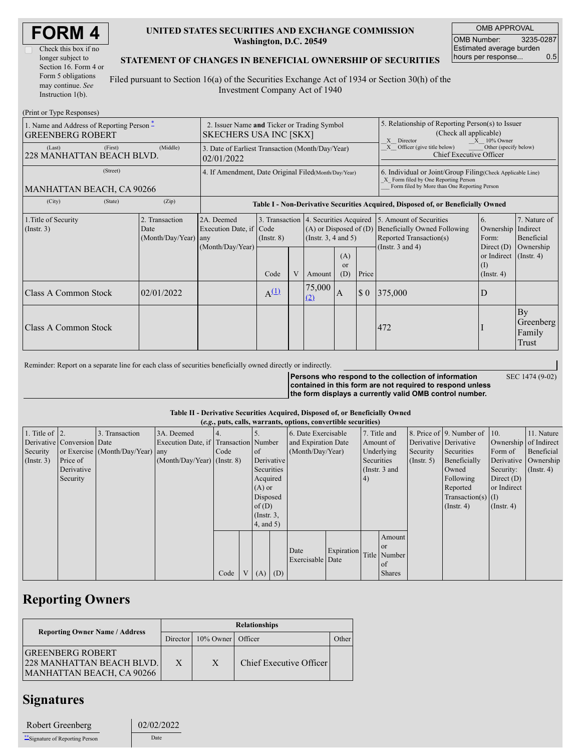| <b>FORM4</b> |  |
|--------------|--|
|--------------|--|

| Check this box if no  |  |  |  |  |
|-----------------------|--|--|--|--|
| longer subject to     |  |  |  |  |
| Section 16. Form 4 or |  |  |  |  |
| Form 5 obligations    |  |  |  |  |
| may continue. See     |  |  |  |  |
| Instruction $1(b)$ .  |  |  |  |  |

### **UNITED STATES SECURITIES AND EXCHANGE COMMISSION Washington, D.C. 20549**

OMB APPROVAL OMB Number: 3235-0287 Estimated average burden hours per response... 0.5

### **STATEMENT OF CHANGES IN BENEFICIAL OWNERSHIP OF SECURITIES**

Filed pursuant to Section 16(a) of the Securities Exchange Act of 1934 or Section 30(h) of the Investment Company Act of 1940

| (Print or Type Responses)                                                      |                                                                              |                                       |                 |   |                                                         |                                                                                                                                                                                                    |                                                                                                                                                    |                                                                                                                          |                                                                |                                    |  |
|--------------------------------------------------------------------------------|------------------------------------------------------------------------------|---------------------------------------|-----------------|---|---------------------------------------------------------|----------------------------------------------------------------------------------------------------------------------------------------------------------------------------------------------------|----------------------------------------------------------------------------------------------------------------------------------------------------|--------------------------------------------------------------------------------------------------------------------------|----------------------------------------------------------------|------------------------------------|--|
| 1. Name and Address of Reporting Person $\tilde{-}$<br><b>GREENBERG ROBERT</b> | 2. Issuer Name and Ticker or Trading Symbol<br><b>SKECHERS USA INC [SKX]</b> |                                       |                 |   |                                                         | 5. Relationship of Reporting Person(s) to Issuer<br>(Check all applicable)<br>$X = 10\%$ Owner<br>X Director<br>$X$ Officer (give title below)<br>Other (specify below)<br>Chief Executive Officer |                                                                                                                                                    |                                                                                                                          |                                                                |                                    |  |
| (First)<br>(Last)<br>228 MANHATTAN BEACH BLVD.                                 | 3. Date of Earliest Transaction (Month/Day/Year)<br>02/01/2022               |                                       |                 |   |                                                         |                                                                                                                                                                                                    |                                                                                                                                                    |                                                                                                                          |                                                                |                                    |  |
| (Street)<br><b>MANHATTAN BEACH, CA 90266</b>                                   | 4. If Amendment, Date Original Filed (Month/Day/Year)                        |                                       |                 |   |                                                         |                                                                                                                                                                                                    | 6. Individual or Joint/Group Filing(Check Applicable Line)<br>X Form filed by One Reporting Person<br>Form filed by More than One Reporting Person |                                                                                                                          |                                                                |                                    |  |
| (City)<br>(State)                                                              | (Zip)                                                                        |                                       |                 |   |                                                         |                                                                                                                                                                                                    |                                                                                                                                                    | Table I - Non-Derivative Securities Acquired, Disposed of, or Beneficially Owned                                         |                                                                |                                    |  |
| 1. Title of Security<br>$($ Instr. 3 $)$                                       | 2. Transaction<br>Date<br>$(Month/Day/Year)$ any                             | 2A. Deemed<br>Execution Date, if Code | $($ Instr. $8)$ |   | $(A)$ or Disposed of $(D)$<br>$($ Instr. 3, 4 and 5 $)$ |                                                                                                                                                                                                    |                                                                                                                                                    | 3. Transaction 4. Securities Acquired 5. Amount of Securities<br>Beneficially Owned Following<br>Reported Transaction(s) | 6.<br>Ownership   Indirect<br>Form:                            | 7. Nature of<br>Beneficial         |  |
|                                                                                |                                                                              | (Month/Day/Year)                      | Code            | V | Amount                                                  | (A)<br><sub>or</sub><br>(D)                                                                                                                                                                        | Price                                                                                                                                              | (Instr. $3$ and $4$ )                                                                                                    | Direct $(D)$<br>or Indirect (Instr. 4)<br>(I)<br>$($ Instr. 4) | Ownership                          |  |
| Class A Common Stock                                                           | 02/01/2022                                                                   |                                       | $A^{(1)}$       |   | 75,000<br>(2)                                           | $\mathbf{A}$                                                                                                                                                                                       | $\boldsymbol{\mathsf{S}}$ 0                                                                                                                        | 375,000                                                                                                                  | D                                                              |                                    |  |
| Class A Common Stock                                                           |                                                                              |                                       |                 |   |                                                         |                                                                                                                                                                                                    |                                                                                                                                                    | 472                                                                                                                      |                                                                | By<br>Greenberg<br>Family<br>Trust |  |

Reminder: Report on a separate line for each class of securities beneficially owned directly or indirectly.

**Persons who respond to the collection of information contained in this form are not required to respond unless the form displays a currently valid OMB control number.** SEC 1474 (9-02)

### **Table II - Derivative Securities Acquired, Disposed of, or Beneficially Owned**

| (e.g., puts, calls, warrants, options, convertible securities) |                            |                                  |                                       |      |                |                |          |                     |            |                 |                      |                  |                                              |                       |                      |
|----------------------------------------------------------------|----------------------------|----------------------------------|---------------------------------------|------|----------------|----------------|----------|---------------------|------------|-----------------|----------------------|------------------|----------------------------------------------|-----------------------|----------------------|
| 1. Title of $ 2$ .                                             |                            | 3. Transaction                   | 3A. Deemed                            |      |                |                |          | 6. Date Exercisable |            | 7. Title and    |                      |                  | 8. Price of $\vert$ 9. Number of $\vert$ 10. |                       | 11. Nature           |
|                                                                | Derivative Conversion Date |                                  | Execution Date, if Transaction Number |      |                |                |          | and Expiration Date |            | Amount of       |                      |                  | Derivative Derivative                        | Ownership of Indirect |                      |
| Security                                                       |                            | or Exercise (Month/Day/Year) any |                                       | Code |                | of             |          | (Month/Day/Year)    |            | Underlying      |                      | Security         | Securities                                   | Form of               | Beneficial           |
| $($ Instr. 3 $)$                                               | Price of                   |                                  | $(Month/Day/Year)$ (Instr. 8)         |      |                | Derivative     |          |                     |            | Securities      |                      | $($ Instr. 5 $)$ | Beneficially                                 |                       | Derivative Ownership |
|                                                                | Derivative                 |                                  |                                       |      |                | Securities     |          |                     |            | (Instr. $3$ and |                      |                  | Owned                                        | Security:             | $($ Instr. 4)        |
|                                                                | Security                   |                                  |                                       |      |                | Acquired       |          |                     | 4)         |                 |                      | Following        | Direct $(D)$                                 |                       |                      |
|                                                                |                            |                                  |                                       |      |                |                | $(A)$ or |                     |            |                 |                      |                  | Reported                                     | or Indirect           |                      |
|                                                                |                            |                                  |                                       |      |                | Disposed       |          |                     |            |                 | Transaction(s) $(I)$ |                  |                                              |                       |                      |
|                                                                |                            |                                  |                                       |      |                | of $(D)$       |          |                     |            |                 |                      |                  | $($ Instr. 4 $)$                             | $($ Instr. 4 $)$      |                      |
|                                                                |                            |                                  |                                       |      |                | $($ Instr. 3,  |          |                     |            |                 |                      |                  |                                              |                       |                      |
|                                                                |                            |                                  |                                       |      |                | $4$ , and $5)$ |          |                     |            |                 |                      |                  |                                              |                       |                      |
|                                                                |                            |                                  |                                       |      |                |                |          |                     |            |                 | Amount               |                  |                                              |                       |                      |
|                                                                |                            |                                  |                                       |      |                |                |          |                     |            |                 | <b>or</b>            |                  |                                              |                       |                      |
|                                                                |                            |                                  |                                       |      |                |                |          | Date                | Expiration |                 | Title Number         |                  |                                              |                       |                      |
|                                                                |                            |                                  |                                       |      |                |                |          | Exercisable Date    |            |                 | of                   |                  |                                              |                       |                      |
|                                                                |                            |                                  |                                       | Code | V <sub>1</sub> | (A)            | (D)      |                     |            |                 | <b>Shares</b>        |                  |                                              |                       |                      |

## **Reporting Owners**

|                                                                                          | <b>Relationships</b> |                   |                         |       |  |  |  |  |
|------------------------------------------------------------------------------------------|----------------------|-------------------|-------------------------|-------|--|--|--|--|
| <b>Reporting Owner Name / Address</b>                                                    | Director             | 10% Owner Officer |                         | Other |  |  |  |  |
| <b>GREENBERG ROBERT</b><br>228 MANHATTAN BEACH BLVD.<br><b>MANHATTAN BEACH, CA 90266</b> | X                    | X                 | Chief Executive Officer |       |  |  |  |  |

# **Signatures**

| Robert Greenberg                 | 02/02/2022 |  |  |
|----------------------------------|------------|--|--|
| ***Signature of Reporting Person | Date       |  |  |